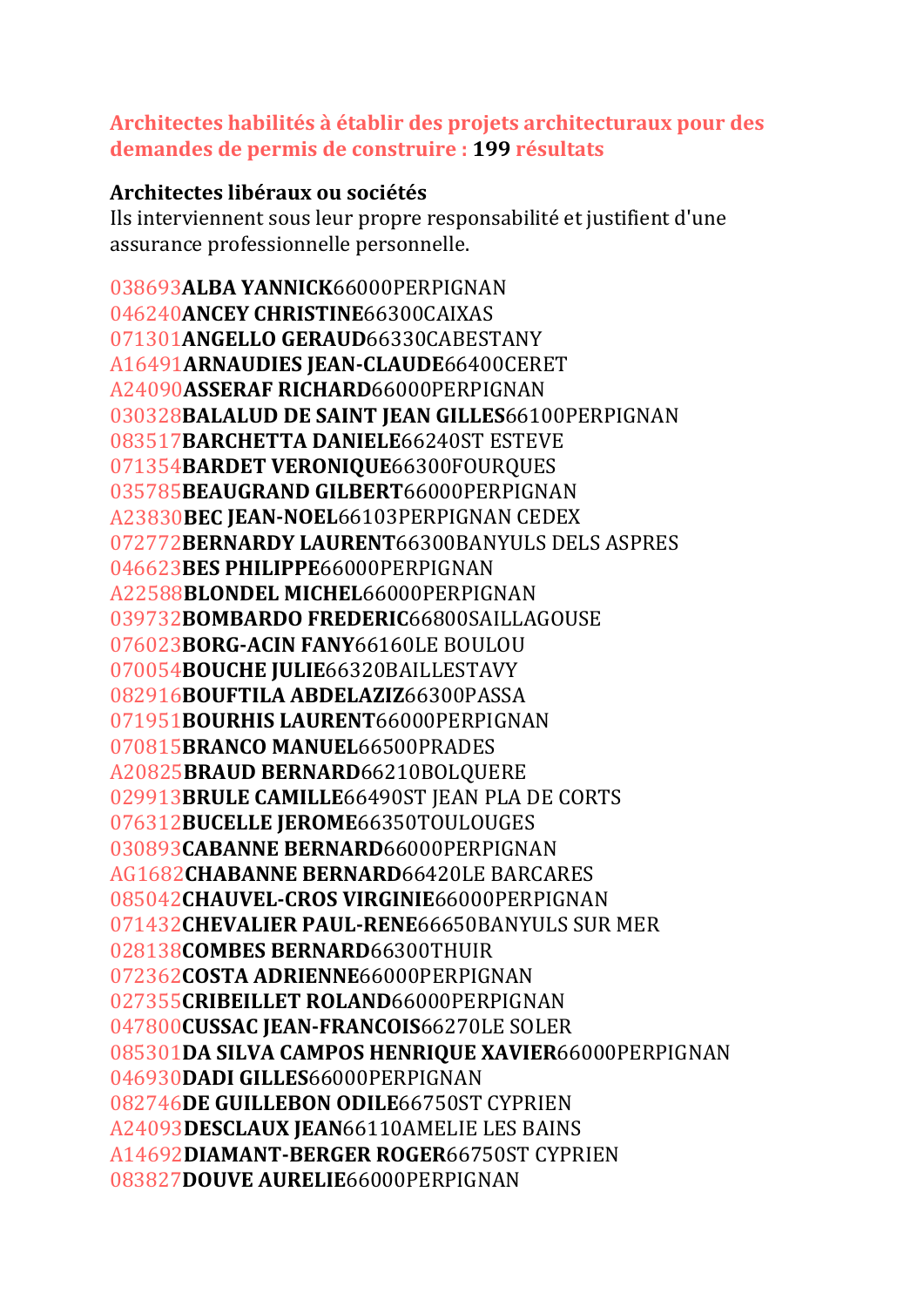## **Architectes habilités à établir des projets architecturaux pour des demandes de permis de construire : 199 résultats**

## **Architectes libéraux ou sociétés**

Ils interviennent sous leur propre responsabilité et justifient d'une assurance professionnelle personnelle.

**ALBA YANNICK**66000PERPIGNAN **ANCEY CHRISTINE**66300CAIXAS **ANGELLO GERAUD**66330CABESTANY A16491**ARNAUDIES JEAN‐CLAUDE**66400CERET A24090**ASSERAF RICHARD**66000PERPIGNAN **BALALUD DE SAINT JEAN GILLES**66100PERPIGNAN **BARCHETTA DANIELE**66240ST ESTEVE **BARDET VERONIQUE**66300FOURQUES **BEAUGRAND GILBERT**66000PERPIGNAN A23830**BEC JEAN‐NOEL**66103PERPIGNAN CEDEX **BERNARDY LAURENT**66300BANYULS DELS ASPRES **BES PHILIPPE**66000PERPIGNAN A22588**BLONDEL MICHEL**66000PERPIGNAN **BOMBARDO FREDERIC**66800SAILLAGOUSE **BORG‐ACIN FANY**66160LE BOULOU **BOUCHE JULIE**66320BAILLESTAVY **BOUFTILA ABDELAZIZ**66300PASSA **BOURHIS LAURENT**66000PERPIGNAN **BRANCO MANUEL**66500PRADES A20825**BRAUD BERNARD**66210BOLQUERE **BRULE CAMILLE**66490ST JEAN PLA DE CORTS **BUCELLE JEROME**66350TOULOUGES **CABANNE BERNARD**66000PERPIGNAN AG1682**CHABANNE BERNARD**66420LE BARCARES **CHAUVEL‐CROS VIRGINIE**66000PERPIGNAN **CHEVALIER PAUL‐RENE**66650BANYULS SUR MER **COMBES BERNARD**66300THUIR **COSTA ADRIENNE**66000PERPIGNAN **CRIBEILLET ROLAND**66000PERPIGNAN **CUSSAC JEAN‐FRANCOIS**66270LE SOLER **DA SILVA CAMPOS HENRIQUE XAVIER**66000PERPIGNAN **DADI GILLES**66000PERPIGNAN **DE GUILLEBON ODILE**66750ST CYPRIEN A24093**DESCLAUX JEAN**66110AMELIE LES BAINS A14692**DIAMANT‐BERGER ROGER**66750ST CYPRIEN **DOUVE AURELIE**66000PERPIGNAN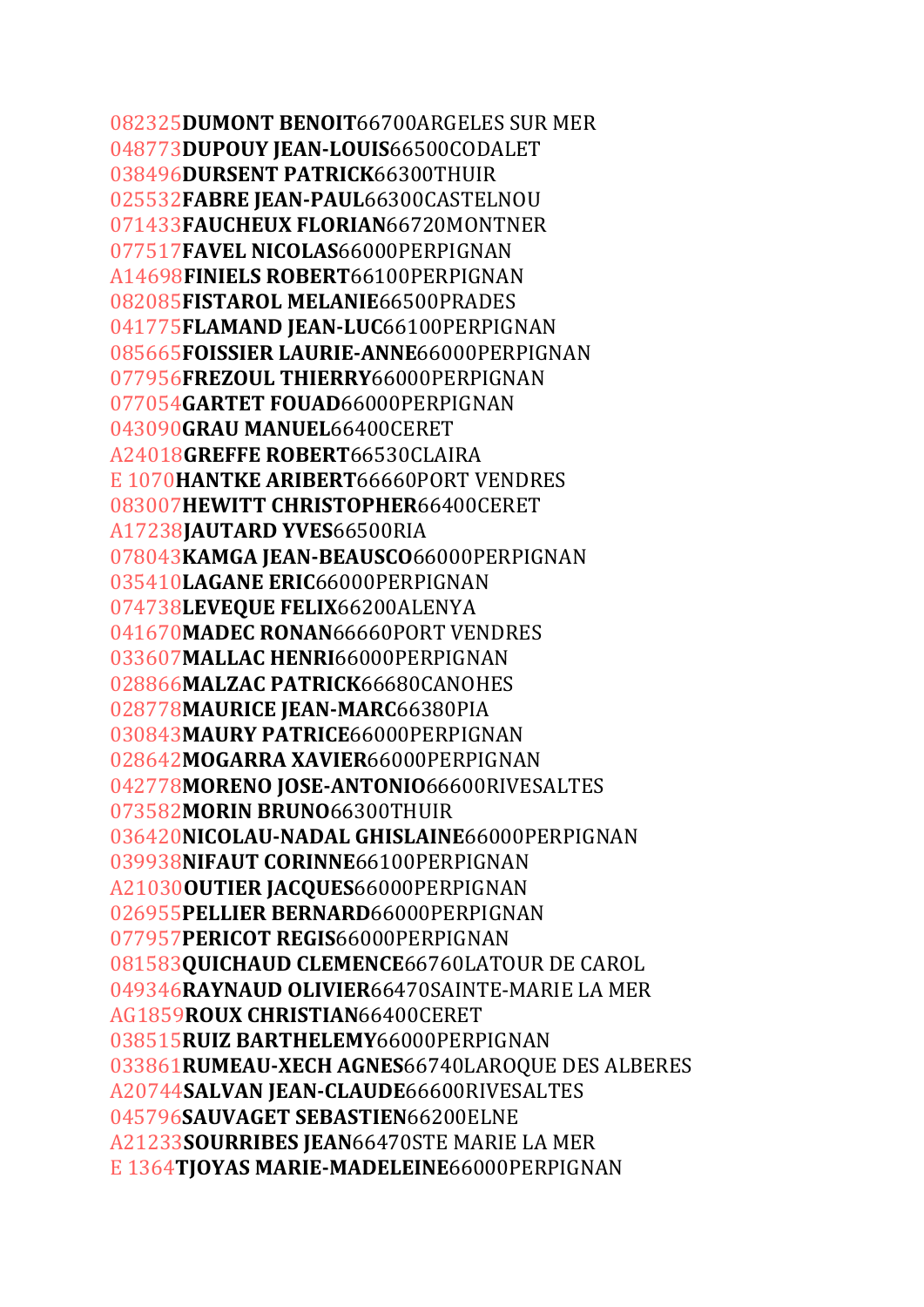**DUMONT BENOIT**66700ARGELES SUR MER **DUPOUY JEAN‐LOUIS**66500CODALET **DURSENT PATRICK**66300THUIR **FABRE JEAN‐PAUL**66300CASTELNOU **FAUCHEUX FLORIAN**66720MONTNER **FAVEL NICOLAS**66000PERPIGNAN A14698**FINIELS ROBERT**66100PERPIGNAN **FISTAROL MELANIE**66500PRADES **FLAMAND JEAN‐LUC**66100PERPIGNAN **FOISSIER LAURIE‐ANNE**66000PERPIGNAN **FREZOUL THIERRY**66000PERPIGNAN **GARTET FOUAD**66000PERPIGNAN **GRAU MANUEL**66400CERET A24018**GREFFE ROBERT**66530CLAIRA E 1070**HANTKE ARIBERT**66660PORT VENDRES **HEWITT CHRISTOPHER**66400CERET A17238**JAUTARD YVES**66500RIA **KAMGA JEAN‐BEAUSCO**66000PERPIGNAN **LAGANE ERIC**66000PERPIGNAN **LEVEQUE FELIX**66200ALENYA **MADEC RONAN**66660PORT VENDRES **MALLAC HENRI**66000PERPIGNAN **MALZAC PATRICK**66680CANOHES **MAURICE JEAN‐MARC**66380PIA **MAURY PATRICE**66000PERPIGNAN **MOGARRA XAVIER**66000PERPIGNAN **MORENO JOSE‐ANTONIO**66600RIVESALTES **MORIN BRUNO**66300THUIR **NICOLAU‐NADAL GHISLAINE**66000PERPIGNAN **NIFAUT CORINNE**66100PERPIGNAN A21030**OUTIER JACQUES**66000PERPIGNAN **PELLIER BERNARD**66000PERPIGNAN **PERICOT REGIS**66000PERPIGNAN **QUICHAUD CLEMENCE**66760LATOUR DE CAROL **RAYNAUD OLIVIER**66470SAINTE-MARIE LA MER AG1859**ROUX CHRISTIAN**66400CERET **RUIZ BARTHELEMY**66000PERPIGNAN **RUMEAU‐XECH AGNES**66740LAROQUE DES ALBERES A20744**SALVAN JEAN‐CLAUDE**66600RIVESALTES **SAUVAGET SEBASTIEN**66200ELNE A21233**SOURRIBES JEAN**66470STE MARIE LA MER E 1364**TJOYAS MARIE‐MADELEINE**66000PERPIGNAN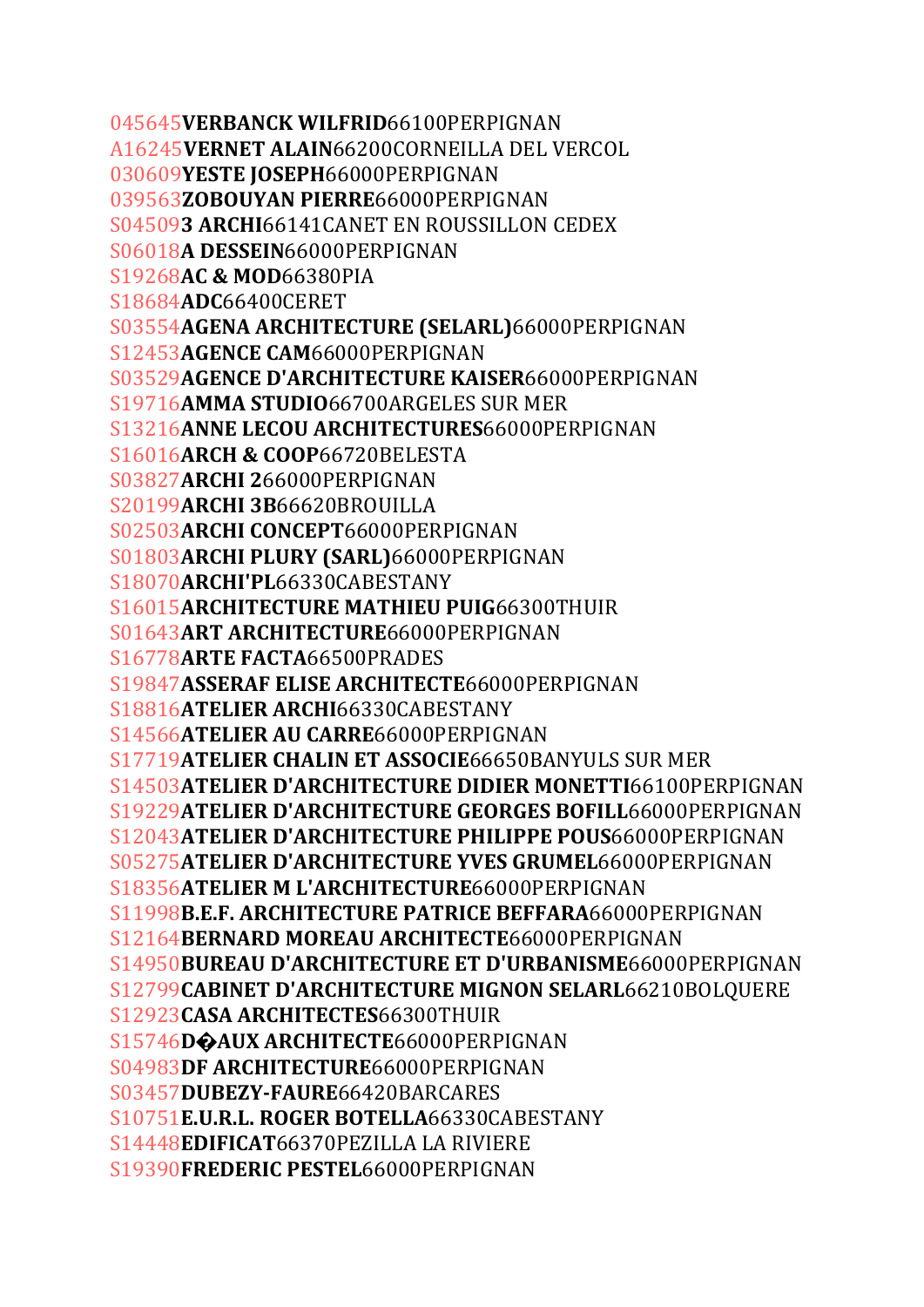045645**VERBANCK WILFRID**66100PERPIGNAN A16245**VERNET ALAIN**66200CORNEILLA DEL VERCOL 030609**YESTE JOSEPH**66000PERPIGNAN 039563**ZOBOUYAN PIERRE**66000PERPIGNAN S04509**3 ARCHI**66141CANET EN ROUSSILLON CEDEX S06018**A DESSEIN**66000PERPIGNAN S19268**AC & MOD**66380PIA S18684**ADC**66400CERET S03554**AGENA ARCHITECTURE (SELARL)**66000PERPIGNAN S12453**AGENCE CAM**66000PERPIGNAN S03529**AGENCE D'ARCHITECTURE KAISER**66000PERPIGNAN S19716**AMMA STUDIO**66700ARGELES SUR MER S13216**ANNE LECOU ARCHITECTURES**66000PERPIGNAN S16016**ARCH & COOP**66720BELESTA S03827**ARCHI 2**66000PERPIGNAN S20199**ARCHI 3B**66620BROUILLA S02503**ARCHI CONCEPT**66000PERPIGNAN S01803**ARCHI PLURY (SARL)**66000PERPIGNAN S18070**ARCHI'PL**66330CABESTANY S16015**ARCHITECTURE MATHIEU PUIG**66300THUIR S01643**ART ARCHITECTURE**66000PERPIGNAN S16778**ARTE FACTA**66500PRADES S19847**ASSERAF ELISE ARCHITECTE**66000PERPIGNAN S18816**ATELIER ARCHI**66330CABESTANY S14566**ATELIER AU CARRE**66000PERPIGNAN S17719**ATELIER CHALIN ET ASSOCIE**66650BANYULS SUR MER S14503**ATELIER D'ARCHITECTURE DIDIER MONETTI**66100PERPIGNAN S19229**ATELIER D'ARCHITECTURE GEORGES BOFILL**66000PERPIGNAN S12043**ATELIER D'ARCHITECTURE PHILIPPE POUS**66000PERPIGNAN S05275**ATELIER D'ARCHITECTURE YVES GRUMEL**66000PERPIGNAN S18356**ATELIER M L'ARCHITECTURE**66000PERPIGNAN S11998**B.E.F. ARCHITECTURE PATRICE BEFFARA**66000PERPIGNAN S12164**BERNARD MOREAU ARCHITECTE**66000PERPIGNAN S14950**BUREAU D'ARCHITECTURE ET D'URBANISME**66000PERPIGNAN S12799**CABINET D'ARCHITECTURE MIGNON SELARL**66210BOLQUERE S12923**CASA ARCHITECTES**66300THUIR S15746**D�AUX ARCHITECTE**66000PERPIGNAN S04983**DF ARCHITECTURE**66000PERPIGNAN S03457**DUBEZY‐FAURE**66420BARCARES S10751**E.U.R.L. ROGER BOTELLA**66330CABESTANY S14448**EDIFICAT**66370PEZILLA LA RIVIERE S19390**FREDERIC PESTEL**66000PERPIGNAN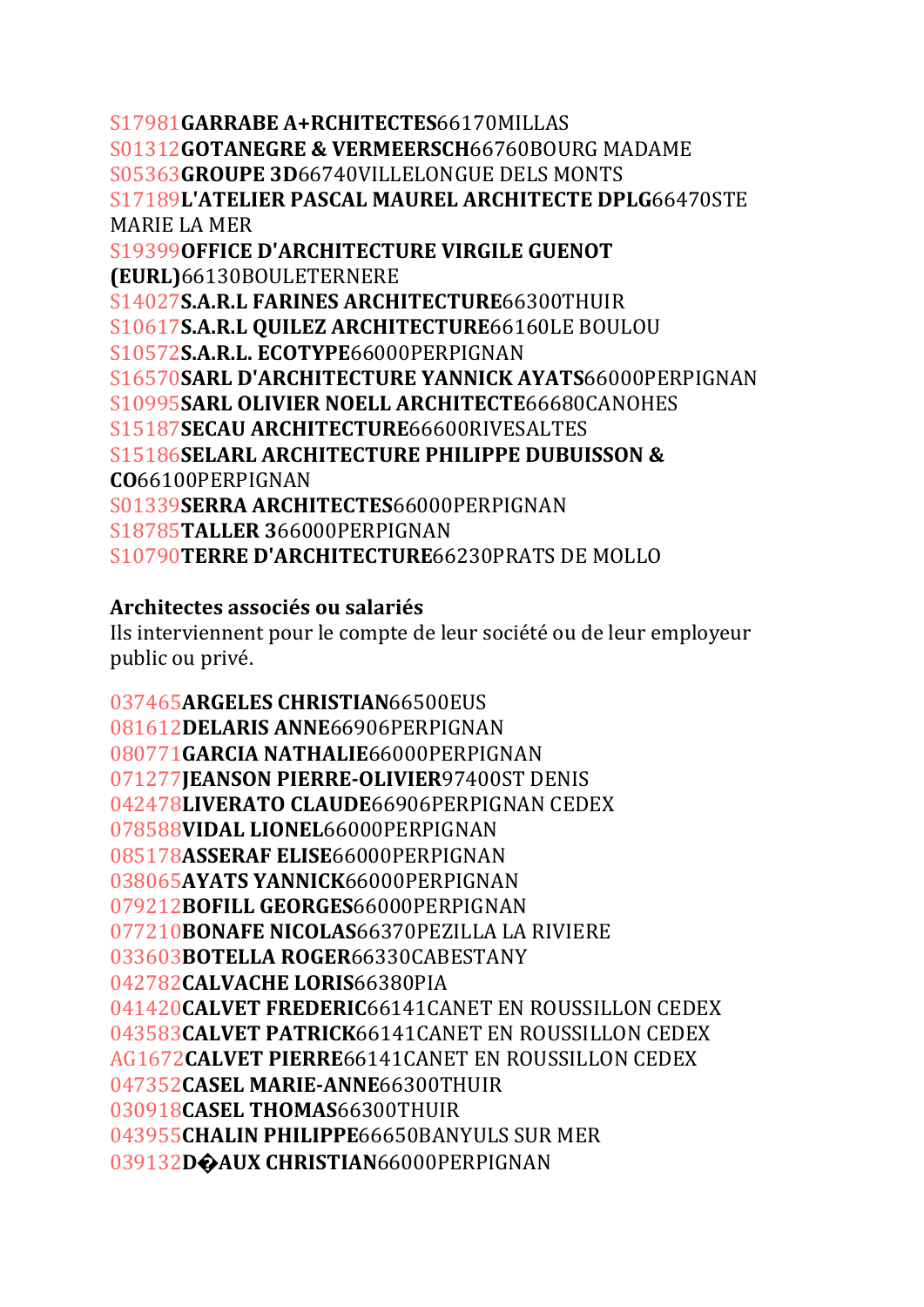S17981**GARRABE A+RCHITECTES**66170MILLAS S01312**GOTANEGRE & VERMEERSCH**66760BOURG MADAME S05363**GROUPE 3D**66740VILLELONGUE DELS MONTS S17189**L'ATELIER PASCAL MAUREL ARCHITECTE DPLG**66470STE MARIE LA MER S19399**OFFICE D'ARCHITECTURE VIRGILE GUENOT (EURL)**66130BOULETERNERE S14027**S.A.R.L FARINES ARCHITECTURE**66300THUIR S10617**S.A.R.L QUILEZ ARCHITECTURE**66160LE BOULOU S10572**S.A.R.L. ECOTYPE**66000PERPIGNAN S16570**SARL D'ARCHITECTURE YANNICK AYATS**66000PERPIGNAN S10995**SARL OLIVIER NOELL ARCHITECTE**66680CANOHES S15187**SECAU ARCHITECTURE**66600RIVESALTES S15186**SELARL ARCHITECTURE PHILIPPE DUBUISSON & CO**66100PERPIGNAN S01339**SERRA ARCHITECTES**66000PERPIGNAN S18785**TALLER 3**66000PERPIGNAN S10790**TERRE D'ARCHITECTURE**66230PRATS DE MOLLO

## **Architectes associés ou salariés**

Ils interviennent pour le compte de leur société ou de leur employeur public ou privé.

**ARGELES CHRISTIAN**66500EUS **DELARIS ANNE**66906PERPIGNAN **GARCIA NATHALIE**66000PERPIGNAN **JEANSON PIERRE‐OLIVIER**97400ST DENIS **LIVERATO CLAUDE**66906PERPIGNAN CEDEX **VIDAL LIONEL**66000PERPIGNAN **ASSERAF ELISE**66000PERPIGNAN **AYATS YANNICK**66000PERPIGNAN **BOFILL GEORGES**66000PERPIGNAN **BONAFE NICOLAS**66370PEZILLA LA RIVIERE **BOTELLA ROGER**66330CABESTANY **CALVACHE LORIS**66380PIA **CALVET FREDERIC**66141CANET EN ROUSSILLON CEDEX **CALVET PATRICK**66141CANET EN ROUSSILLON CEDEX AG1672**CALVET PIERRE**66141CANET EN ROUSSILLON CEDEX **CASEL MARIE‐ANNE**66300THUIR **CASEL THOMAS**66300THUIR **CHALIN PHILIPPE**66650BANYULS SUR MER **D�AUX CHRISTIAN**66000PERPIGNAN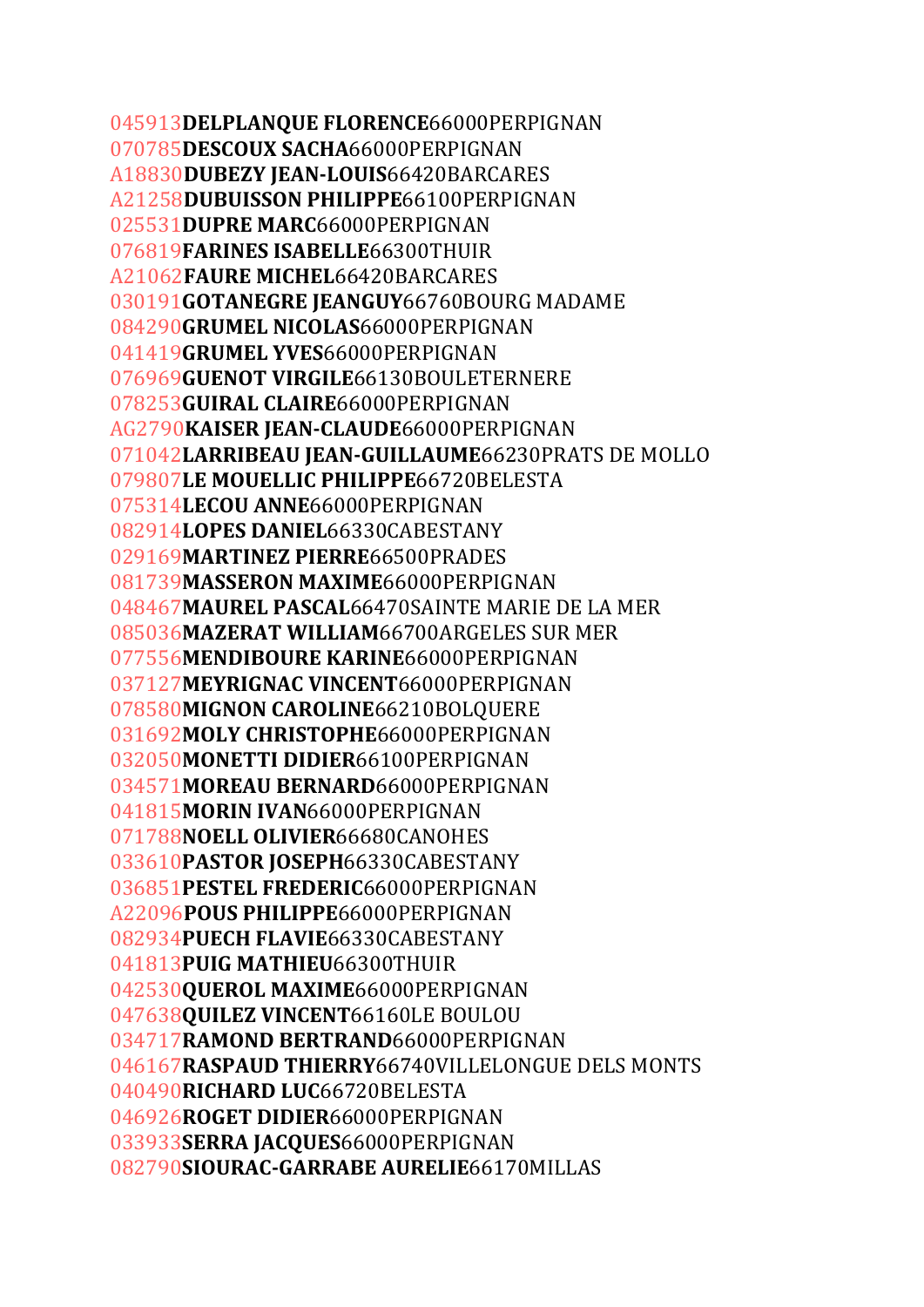**DELPLANQUE FLORENCE**66000PERPIGNAN **DESCOUX SACHA**66000PERPIGNAN A18830**DUBEZY JEAN‐LOUIS**66420BARCARES A21258**DUBUISSON PHILIPPE**66100PERPIGNAN **DUPRE MARC**66000PERPIGNAN **FARINES ISABELLE**66300THUIR A21062**FAURE MICHEL**66420BARCARES **GOTANEGRE JEANGUY**66760BOURG MADAME **GRUMEL NICOLAS**66000PERPIGNAN **GRUMEL YVES**66000PERPIGNAN **GUENOT VIRGILE**66130BOULETERNERE **GUIRAL CLAIRE**66000PERPIGNAN AG2790**KAISER JEAN‐CLAUDE**66000PERPIGNAN **LARRIBEAU JEAN‐GUILLAUME**66230PRATS DE MOLLO **LE MOUELLIC PHILIPPE**66720BELESTA **LECOU ANNE**66000PERPIGNAN **LOPES DANIEL**66330CABESTANY **MARTINEZ PIERRE**66500PRADES **MASSERON MAXIME**66000PERPIGNAN **MAUREL PASCAL**66470SAINTE MARIE DE LA MER **MAZERAT WILLIAM**66700ARGELES SUR MER **MENDIBOURE KARINE**66000PERPIGNAN **MEYRIGNAC VINCENT**66000PERPIGNAN **MIGNON CAROLINE**66210BOLQUERE **MOLY CHRISTOPHE**66000PERPIGNAN **MONETTI DIDIER**66100PERPIGNAN **MOREAU BERNARD**66000PERPIGNAN **MORIN IVAN**66000PERPIGNAN **NOELL OLIVIER**66680CANOHES **PASTOR JOSEPH**66330CABESTANY **PESTEL FREDERIC**66000PERPIGNAN A22096**POUS PHILIPPE**66000PERPIGNAN **PUECH FLAVIE**66330CABESTANY **PUIG MATHIEU**66300THUIR **QUEROL MAXIME**66000PERPIGNAN **QUILEZ VINCENT**66160LE BOULOU **RAMOND BERTRAND**66000PERPIGNAN **RASPAUD THIERRY**66740VILLELONGUE DELS MONTS **RICHARD LUC**66720BELESTA **ROGET DIDIER**66000PERPIGNAN **SERRA JACQUES**66000PERPIGNAN **SIOURAC‐GARRABE AURELIE**66170MILLAS